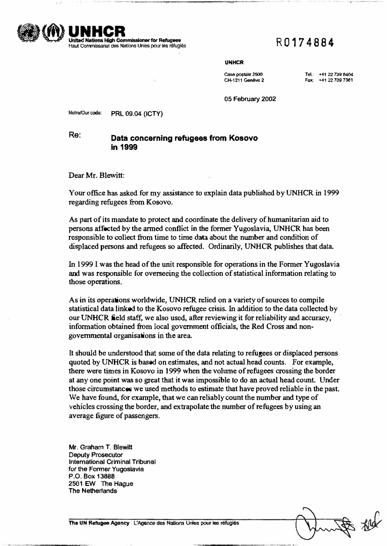

# R0174884

## UNHCR

**Cas& postale 2500 CH-1211 Geneve 2**  **Tet: '\*41 22 739 8404**  Fax: +41 22 739 7361

**05 February 2002** 

Notre/Our code: **PRL 09.04 (ICTY)** 

**Inited Nations High Commissioner for Refugees** Haut Commissariat des Nations Unies pour les réfugiés

## **Re: Data concerning refugees from Kosovo in 1999**

**Dear Mr. Blewitt:** 

**Your office has asked for my assistance to explain data published by UNHCR in 1999 regarding refugees from Kosovo.** 

**As part of its mandate to protect and coordinate the delivery of humanitarian aid to persons affected by the armed conflict in the former Yugoslavia, UNHCR has been responsible to collect from time to time data about the number and condition of displaced persons and refugees so affected. Ordinarily, UNHCR publishes that data.** 

**In 1999 I was the head of the unit responsible for operations in the Former Yugoslavia and was responsible for overseeing the collection of statistical information relating to those operations.** 

**As in its operations worldwide, UNHCR relied on a variety of sources to compile statistical data linked to the Kosovo refugee crisis. In addition to the data collected by our UNHCR field staff, we also used, after reviewing it for reliability and accuracy, information obtained from local government officials, the Red Cross and nongovernmental organisations in the area.** 

**It should be understood that some of the data relating to refugees or displaced persons quoted by UNHCR is based on estimates, and not actual head counts. For example, there were times in Kosovo in 1999 when the volume of refugees crossing the border at any one point was so great that it was impossible to do an actual head count. Under those circumstances we used methods to estimate that have proved reliable in the past We have found, for example, that we can reliably count the number and type of vehicles crossing the border, and extrapolate the number of refugees by using an average figure of passengers.** 

**Mr. Graham T. Blewitt Deputy Prosecutor International Criminal Tribunal for the Former Yugoslavia P.O. Box 13888 2501 EW The Hague The Netherlands** 

The UN Refugee Agency L'Agence des Nations Unies pour les réfugiés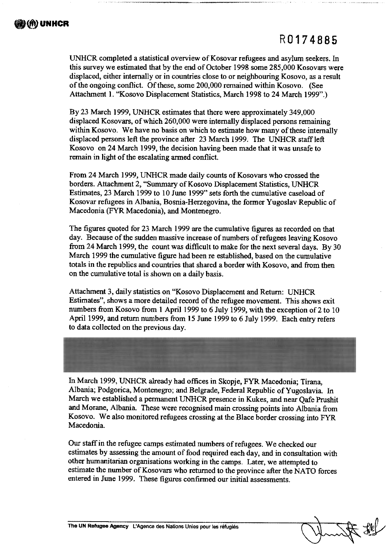# R0174885

UNHCR completed a statistical overview of Kosovar refugees and asylum seekers. In this survey we estimated that by the end of October 1998 some 285,000 Kosovars were displaced, either internally or in countries close to or neighbouring Kosovo, as a result of the ongoing conflict. Of these, some 200,000 remained within Kosovo. (See Attachment 1. "Kosovo Displacement Statistics, March 1998 to 24 March 1999".)

By 23 March 1999, UNHCR estimates that there were approximately 349,000 displaced Kosovars, of which 260,000 were internally displaced persons remaining within Kosovo. We have no basis on which to estimate how many of these internally displaced persons left the province after 23 March 1999. The UNHCR staff left Kosovo on 24 March 1999, the decision having been made that it was unsafe to remain in light of the escalating armed conflict.

From 24 March 1999, UNHCR made daily counts of Kosovars who crossed the borders. Attachment 2, "Summary of Kosovo Displacement Statistics, UNHCR Estimates, 23 March 1999 to 10 June 1999" sets forth the cumulative caseload of Kosovar refugees in Albania, Bosnia-Herzegovina, the former Yugoslav Republic of Macedonia (FYR Macedonia), and Montenegro.

The figures quoted for 23 March 1999 are the cumulative figures as recorded on that day. Because of the sudden massive increase of numbers of refugees leaving Kosovo from 24 March 1999, the count was difficult to make for the next several days. By 30 March 1999 the cumulative figure had been re established, based on the cumulative totals in the republics and countries that shared a border with Kosovo, and from then on the cumulative total is shown on a daily basis.

Attachment 3, daily statistics on "Kosovo Displacement and Return: UNHCR Estimates", shows a more detailed record of the refugee movement. This shows exit numbers from Kosovo from 1 April 1999 to 6 July 1999, with the exception of 2 to 10 April 1999, and return numbers from 15 June 1999 to 6 July 1999. Each entry refers to data collected on the previous day.



In March 1999, UNHCR already had offices in Skopje, FYR Macedonia; Tirana, Albania; Podgorica, Montenegro; and Belgrade, Federal Republic of Yugoslavia. In March we established a permanent UNHCR presence in Kukes, and near Qafe Prushit and Morane, Albania. These were recognised main crossing points into Albania from Kosovo. We also monitored refugees crossing at the Blace border crossing into FYR Macedonia.

Our staff in the refugee camps estimated numbers of refugees. We checked our estimates by assessing the amount of food required each day, and in consultation with other humanitarian organisations working in the camps. Later, we attempted to estimate the number of Kosovars who returned to the province after the NATO forces entered in June 1999. These figures confirmed our initial assessments.

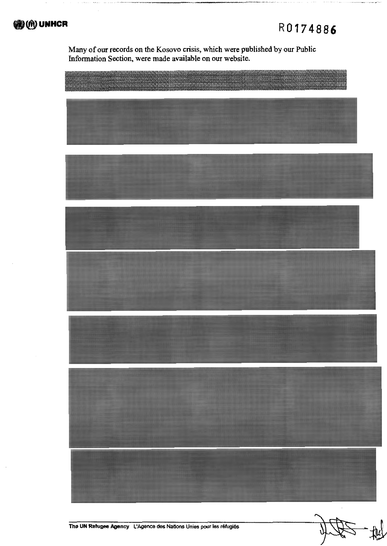

Many of our records on the Kosovo crisis, which were published by our Public Information Section, were made available on our website.

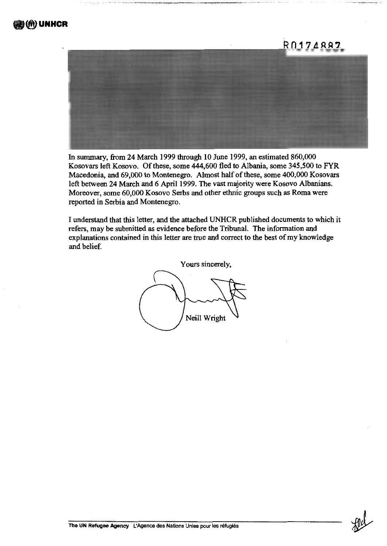# R0174887

In summary, from 24 March 1999 through 10 June 1999, an estimated 860,000 Kosovars left Kosovo. Of these, some 444,600 fled to Albania, some 345,500 to FYR Macedonia, and 69,000 to Montenegro. Almost half of these, some 400,000 Kosovars left between 24 March and 6 April 1999. The vast majority were Kosovo Albanians. Moreover, some 60,000 Kosovo Serbs and other ethnic groups such as Roma were reported in Serbia and Montenegro.

I understand that this letter, and the attached UNHCR published documents to which it refers, may be submitted as evidence before the Tribunal. The information and explanations contained in this letter are true and correct to the best of my knowledge and helief.

Yours sincerely, Neill Wright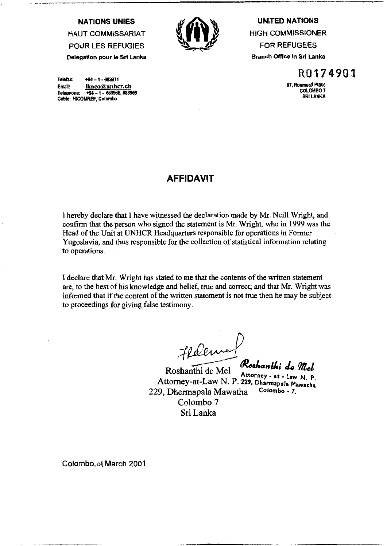**NATIONS UNIES HAUT COMMISSARIAT POUR LES REFUGIES** 

Delegation pour le Sri Lanka



**UNITED NATIONS HIGH COMMISSIONER FOR REFUGEES Branch Office in Sri Lanka** 

Telefax:  $+94 - 1 - 683971$ Email: lkaco@unhcr.ch Telephone: +94 - 1 - 683968, 683969 Cable: HICOMREF, Colombo

R0174901

97, Rosmead Place **COLOMBO 7 SRI LANKA** 

# **AFFIDAVIT**

I hereby declare that I have witnessed the declaration made by Mr. Neill Wright, and confirm that the person who signed the statement is Mr. Wright, who in 1999 was the Head of the Unit at UNHCR Headquarters responsible for operations in Former Yugoslavia, and thus responsible for the collection of statistical information relating to operations.

I declare that Mr. Wright has stated to me that the contents of the written statement are, to the best of his knowledge and belief, true and correct; and that Mr. Wright was informed that if the content of the written statement is not true then he may be subject to proceedings for giving false testimony.

Federick

Roshanthi de Mel Roshanthi de Mel Koshanthi de VILel Attorney-at-Law N. P. 229, Dharmapala Mawatha Colombo - 7. 229, Dhermapala Mawatha Colombo<sub>7</sub> Sri Lanka

Colombo, of March 2001